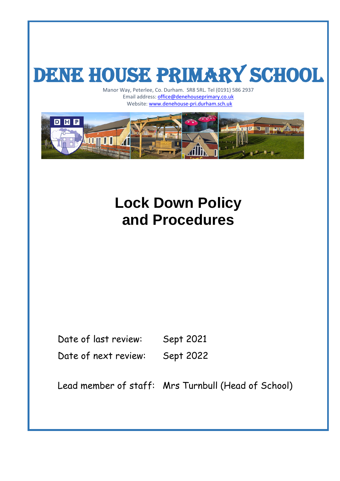# DENE HOUSE PRIMARY SCHOOL

Manor Way, Peterlee, Co. Durham. SR8 5RL. Tel (0191) 586 2937 Email address: **office@denehouseprimary.co.uk** ay, Peterlee, Co. Durham. SNS SNL. Ter (0191) Schemal address: **office@denehouseprimary.co.uk**<br>Website: [www.denehouse-pri.durham.sch.uk](http://www.denehouse-pri.durham.sch.uk/)



# **Lock Down Policy and Procedures**

Date of last review: Sept 2021 Date of next review: Sept 2022

Lead member of staff: Mrs Turnbull (Head of School)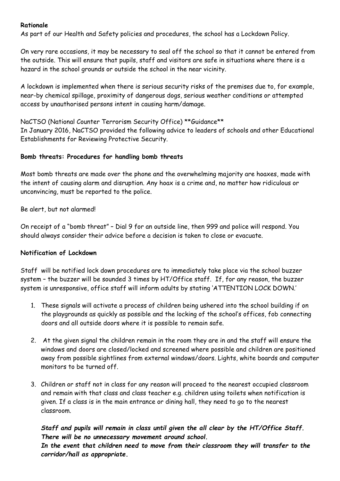#### **Rationale**

As part of our Health and Safety policies and procedures, the school has a Lockdown Policy.

On very rare occasions, it may be necessary to seal off the school so that it cannot be entered from the outside. This will ensure that pupils, staff and visitors are safe in situations where there is a hazard in the school grounds or outside the school in the near vicinity.

A lockdown is implemented when there is serious security risks of the premises due to, for example, near-by chemical spillage, proximity of dangerous dogs, serious weather conditions or attempted access by unauthorised persons intent in causing harm/damage.

NaCTSO (National Counter Terrorism Security Office) \*\*Guidance\*\* In January 2016, NaCTSO provided the following advice to leaders of schools and other Educational Establishments for Reviewing Protective Security.

#### **Bomb threats: Procedures for handling bomb threats**

Most bomb threats are made over the phone and the overwhelming majority are hoaxes, made with the intent of causing alarm and disruption. Any hoax is a crime and, no matter how ridiculous or unconvincing, must be reported to the police.

Be alert, but not alarmed!

On receipt of a "bomb threat" – Dial 9 for an outside line, then 999 and police will respond. You should always consider their advice before a decision is taken to close or evacuate.

#### **Notification of Lockdown**

Staff will be notified lock down procedures are to immediately take place via the school buzzer system – the buzzer will be sounded 3 times by HT/Office staff. If, for any reason, the buzzer system is unresponsive, office staff will inform adults by stating 'ATTENTION LOCK DOWN.'

- 1. These signals will activate a process of children being ushered into the school building if on the playgrounds as quickly as possible and the locking of the school's offices, fob connecting doors and all outside doors where it is possible to remain safe.
- 2. At the given signal the children remain in the room they are in and the staff will ensure the windows and doors are closed/locked and screened where possible and children are positioned away from possible sightlines from external windows/doors. Lights, white boards and computer monitors to be turned off.
- 3. Children or staff not in class for any reason will proceed to the nearest occupied classroom and remain with that class and class teacher e.g. children using toilets when notification is given. If a class is in the main entrance or dining hall, they need to go to the nearest classroom.

*Staff and pupils will remain in class until given the all clear by the HT/Office Staff. There will be no unnecessary movement around school.*

*In the event that children need to move from their classroom they will transfer to the corridor/hall as appropriate.*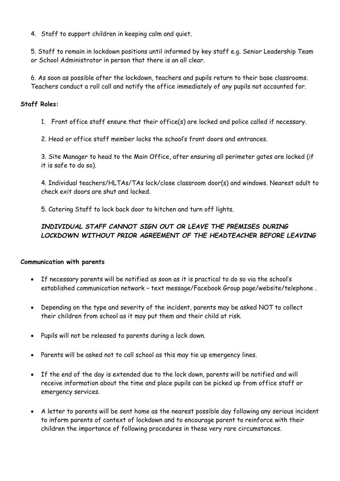4. Staff to support children in keeping calm and quiet.

5. Staff to remain in lockdown positions until informed by key staff e.g. Senior Leadership Team or School Administrator in person that there is an all clear.

6. As soon as possible after the lockdown, teachers and pupils return to their base classrooms. Teachers conduct a roll call and notify the office immediately of any pupils not accounted for.

#### **Staff Roles:**

1. Front office staff ensure that their office(s) are locked and police called if necessary.

2. Head or office staff member locks the school's front doors and entrances.

3. Site Manager to head to the Main Office, after ensuring all perimeter gates are locked (if it is safe to do so).

4. Individual teachers/HLTAs/TAs lock/close classroom door(s) and windows. Nearest adult to check exit doors are shut and locked.

5. Catering Staff to lock back door to kitchen and turn off lights.

## *INDIVIDUAL STAFF CANNOT SIGN OUT OR LEAVE THE PREMISES DURING LOCKDOWN WITHOUT PRIOR AGREEMENT OF THE HEADTEACHER BEFORE LEAVING*

#### **Communication with parents**

- If necessary parents will be notified as soon as it is practical to do so via the school's established communication network – text message/Facebook Group page/website/telephone .
- Depending on the type and severity of the incident, parents may be asked NOT to collect their children from school as it may put them and their child at risk.
- Pupils will not be released to parents during a lock down.
- Parents will be asked not to call school as this may tie up emergency lines.
- If the end of the day is extended due to the lock down, parents will be notified and will receive information about the time and place pupils can be picked up from office staff or emergency services.
- A letter to parents will be sent home as the nearest possible day following any serious incident to inform parents of context of lockdown and to encourage parent to reinforce with their children the importance of following procedures in these very rare circumstances.